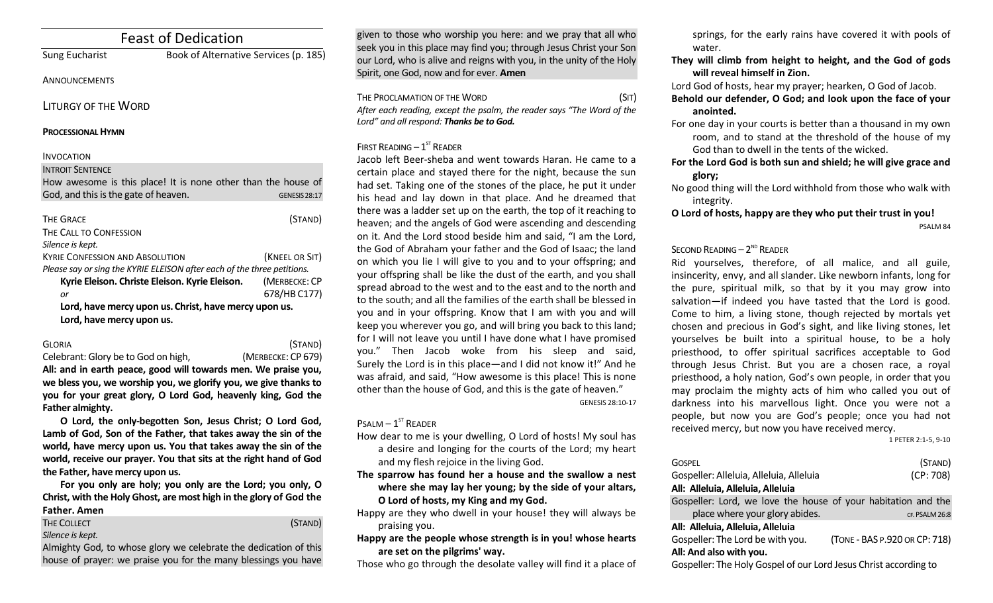| <b>Feast of Dedication</b>                                              |  |  |
|-------------------------------------------------------------------------|--|--|
| Book of Alternative Services (p. 185)                                   |  |  |
|                                                                         |  |  |
|                                                                         |  |  |
|                                                                         |  |  |
|                                                                         |  |  |
|                                                                         |  |  |
| How awesome is this place! It is none other than the house of           |  |  |
| <b>GENESIS 28:17</b>                                                    |  |  |
| (STAND)                                                                 |  |  |
|                                                                         |  |  |
|                                                                         |  |  |
| (KNEEL OR SIT)                                                          |  |  |
| Please say or sing the KYRIE ELEISON after each of the three petitions. |  |  |
| Kyrie Eleison. Christe Eleison. Kyrie Eleison.<br>(MERBECKE: CP         |  |  |
| 678/HB C177)                                                            |  |  |
| Lord, have mercy upon us. Christ, have mercy upon us.                   |  |  |
|                                                                         |  |  |
|                                                                         |  |  |

| <b>GLORIA</b>                       | (STAND)            |
|-------------------------------------|--------------------|
| Celebrant: Glory be to God on high, | (MERBECKE: CP 679) |
| - --                                |                    |

**All: and in earth peace, good will towards men. We praise you, we bless you, we worship you, we glorify you, we give thanks to you for your great glory, O Lord God, heavenly king, God the Father almighty.**

**O Lord, the only-begotten Son, Jesus Christ; O Lord God, Lamb of God, Son of the Father, that takes away the sin of the world, have mercy upon us. You that takes away the sin of the world, receive our prayer. You that sits at the right hand of God the Father, have mercy upon us.**

**For you only are holy; you only are the Lord; you only, O Christ, with the Holy Ghost, are most high in the glory of God the Father. Amen**

| THE COLLECT                                                      | (STAND) |
|------------------------------------------------------------------|---------|
| Silence is kept.                                                 |         |
| Almighty God, to whose glory we celebrate the dedication of this |         |

ase givity we celebrate the dedication of this  $\,$ house of prayer: we praise you for the many blessings you have given to those who worship you here: and we pray that all who seek you in this place may find you; through Jesus Christ your Son our Lord, who is alive and reigns with you, in the unity of the Holy Spirit, one God, now and for ever. **Amen**

THE PROCLAMATION OF THE WORD (SIT) *After each reading, except the psalm, the reader says "The Word of the Lord" and all respond: Thanks be to God.* 

# FIRST READING  $-1<sup>ST</sup>$  READER

Jacob left Beer-sheba and went towards Haran. He came to a certain place and stayed there for the night, because the sun had set. Taking one of the stones of the place, he put it under his head and lay down in that place. And he dreamed that there was a ladder set up on the earth, the top of it reaching to heaven; and the angels of God were ascending and descending on it. And the Lord stood beside him and said, "I am the Lord, the God of Abraham your father and the God of Isaac; the land on which you lie I will give to you and to your offspring; and your offspring shall be like the dust of the earth, and you shall spread abroad to the west and to the east and to the north and to the south; and all the families of the earth shall be blessed in you and in your offspring. Know that I am with you and will keep you wherever you go, and will bring you back to this land; for I will not leave you until I have done what I have promised you." Then Jacob woke from his sleep and said, Surely the Lord is in this place—and I did not know it!" And he was afraid, and said, "How awesome is this place! This is none other than the house of God, and this is the gate of heaven."

GENESIS 28:10-17

 $P$ SALM  $-1$ <sup>ST</sup> READER

How dear to me is your dwelling, O Lord of hosts! My soul has a desire and longing for the courts of the Lord; my heart and my flesh rejoice in the living God.

**The sparrow has found her a house and the swallow a nest where she may lay her young; by the side of your altars, O Lord of hosts, my King and my God.**

Happy are they who dwell in your house! they will always be praising you.

**Happy are the people whose strength is in you! whose hearts are set on the pilgrims' way.**

Those who go through the desolate valley will find it a place of

springs, for the early rains have covered it with pools of water.

**They will climb from height to height, and the God of gods will reveal himself in Zion.**

Lord God of hosts, hear my prayer; hearken, O God of Jacob.

**Behold our defender, O God; and look upon the face of your anointed.**

For one day in your courts is better than a thousand in my own room, and to stand at the threshold of the house of my God than to dwell in the tents of the wicked.

- **For the Lord God is both sun and shield; he will give grace and glory;**
- No good thing will the Lord withhold from those who walk with integrity.

**O Lord of hosts, happy are they who put their trust in you!** PSALM 84

# SECOND READING  $-2^{ND}$  READER

Rid yourselves, therefore, of all malice, and all guile, insincerity, envy, and all slander. Like newborn infants, long for the pure, spiritual milk, so that by it you may grow into salvation—if indeed you have tasted that the Lord is good. Come to him, a living stone, though rejected by mortals yet chosen and precious in God's sight, and like living stones, let yourselves be built into a spiritual house, to be a holy priesthood, to offer spiritual sacrifices acceptable to God through Jesus Christ. But you are a chosen race, a royal priesthood, a holy nation, God's own people, in order that you may proclaim the mighty acts of him who called you out of darkness into his marvellous light. Once you were not a people, but now you are God's people; once you had not received mercy, but now you have received mercy.

1 PETER 2:1-5, 9-10

| GOSPEL                                                           | (STAND)                       |
|------------------------------------------------------------------|-------------------------------|
| Gospeller: Alleluia, Alleluia, Alleluia                          | (CP: 708)                     |
| All: Alleluia, Alleluia, Alleluia                                |                               |
| Gospeller: Lord, we love the house of your habitation and the    |                               |
| place where your glory abides.                                   | CF. PSALM 26:8                |
| All: Alleluia, Alleluia, Alleluia                                |                               |
| Gospeller: The Lord be with you.                                 | (TONE - BAS P.920 OR CP: 718) |
| All: And also with you.                                          |                               |
| Gospeller: The Holy Gospel of our Lord Jesus Christ according to |                               |